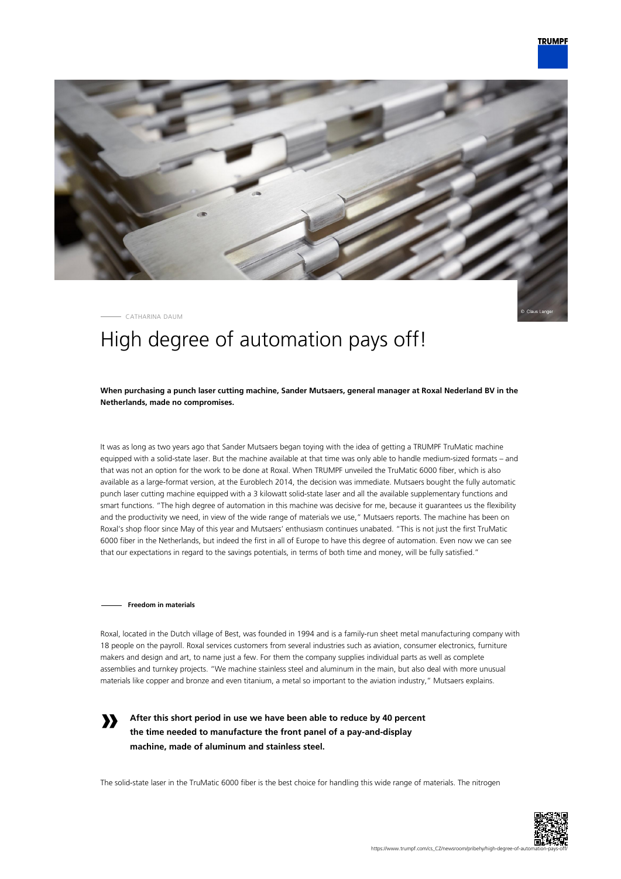

CATHARINA DAUM

# High degree of automation pays off!

**When purchasing a punch laser cutting machine, Sander Mutsaers, general manager at Roxal Nederland BV in the Netherlands, made no compromises.**

It was as long as two years ago that Sander Mutsaers began toying with the idea of getting a TRUMPF TruMatic machine equipped with a solid-state laser. But the machine available at that time was only able to handle medium-sized formats – and that was not an option for the work to be done at Roxal. When TRUMPF unveiled the TruMatic 6000 fiber, which is also available as a large-format version, at the Euroblech 2014, the decision was immediate. Mutsaers bought the fully automatic punch laser cutting machine equipped with a 3 kilowatt solid-state laser and all the available supplementary functions and smart functions. "The high degree of automation in this machine was decisive for me, because it guarantees us the flexibility and the productivity we need, in view of the wide range of materials we use," Mutsaers reports. The machine has been on Roxal's shop floor since May of this year and Mutsaers' enthusiasm continues unabated. "This is not just the first TruMatic 6000 fiber in the Netherlands, but indeed the first in all of Europe to have this degree of automation. Even now we can see that our expectations in regard to the savings potentials, in terms of both time and money, will be fully satisfied."

#### **Freedom in materials**

**»**

Roxal, located in the Dutch village of Best, was founded in 1994 and is a family-run sheet metal manufacturing company with 18 people on the payroll. Roxal services customers from several industries such as aviation, consumer electronics, furniture makers and design and art, to name just a few. For them the company supplies individual parts as well as complete assemblies and turnkey projects. "We machine stainless steel and aluminum in the main, but also deal with more unusual materials like copper and bronze and even titanium, a metal so important to the aviation industry," Mutsaers explains.

**After this short period in use we have been able to reduce by 40 percent the time needed to manufacture the front panel of a pay-and-display machine, made of aluminum and stainless steel.**

The solid-state laser in the TruMatic 6000 fiber is the best choice for handling this wide range of materials. The nitrogen

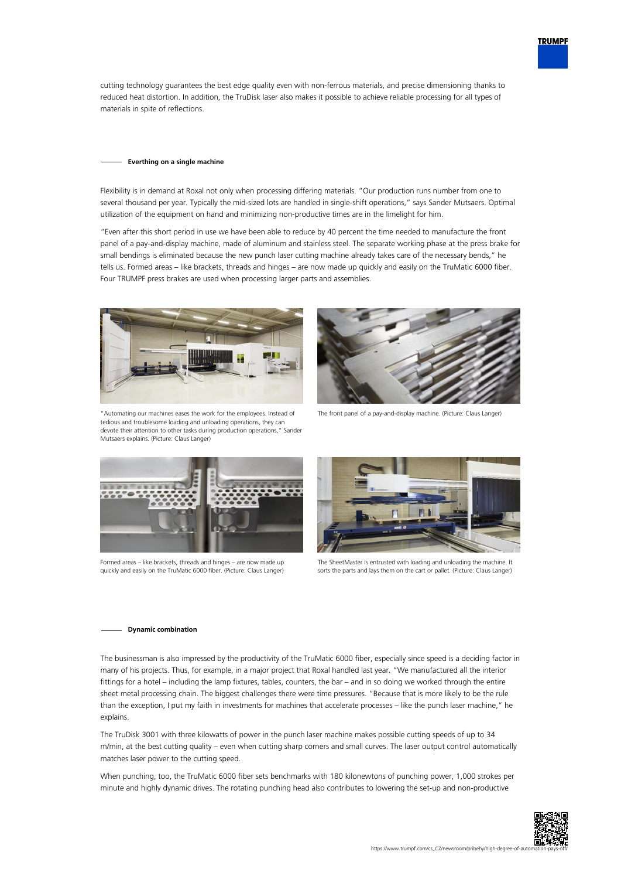cutting technology guarantees the best edge quality even with non-ferrous materials, and precise dimensioning thanks to reduced heat distortion. In addition, the TruDisk laser also makes it possible to achieve reliable processing for all types of materials in spite of reflections.

#### **Everthing on a single machine**

Flexibility is in demand at Roxal not only when processing differing materials. "Our production runs number from one to several thousand per year. Typically the mid-sized lots are handled in single-shift operations," says Sander Mutsaers. Optimal utilization of the equipment on hand and minimizing non-productive times are in the limelight for him.

"Even after this short period in use we have been able to reduce by 40 percent the time needed to manufacture the front panel of a pay-and-display machine, made of aluminum and stainless steel. The separate working phase at the press brake for small bendings is eliminated because the new punch laser cutting machine already takes care of the necessary bends," he tells us. Formed areas – like brackets, threads and hinges – are now made up quickly and easily on the TruMatic 6000 fiber. Four TRUMPF press brakes are used when processing larger parts and assemblies.



"Automating our machines eases the work for the employees. Instead of tedious and troublesome loading and unloading operations, they can devote their attention to other tasks during production operations," Sander Mutsaers explains. (Picture: Claus Langer)



The front panel of a pay-and-display machine. (Picture: Claus Langer)



Formed areas – like brackets, threads and hinges – are now made up quickly and easily on the TruMatic 6000 fiber. (Picture: Claus Langer)



The SheetMaster is entrusted with loading and unloading the machine. It sorts the parts and lays them on the cart or pallet. (Picture: Claus Langer)

### **Dynamic combination**

The businessman is also impressed by the productivity of the TruMatic 6000 fiber, especially since speed is a deciding factor in many of his projects. Thus, for example, in a major project that Roxal handled last year. "We manufactured all the interior fittings for a hotel – including the lamp fixtures, tables, counters, the bar – and in so doing we worked through the entire sheet metal processing chain. The biggest challenges there were time pressures. "Because that is more likely to be the rule than the exception, I put my faith in investments for machines that accelerate processes – like the punch laser machine," he explains.

The TruDisk 3001 with three kilowatts of power in the punch laser machine makes possible cutting speeds of up to 34 m/min, at the best cutting quality – even when cutting sharp corners and small curves. The laser output control automatically matches laser power to the cutting speed.

When punching, too, the TruMatic 6000 fiber sets benchmarks with 180 kilonewtons of punching power, 1,000 strokes per minute and highly dynamic drives. The rotating punching head also contributes to lowering the set-up and non-productive



**TRUMPF**